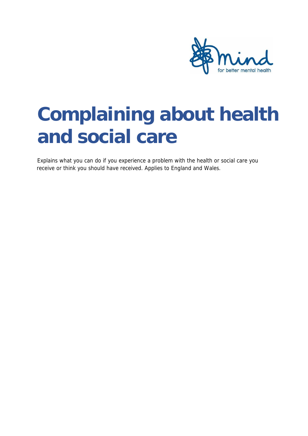

# **Complaining about health and social care**

Explains what you can do if you experience a problem with the health or social care you receive or think you should have received. Applies to England and Wales.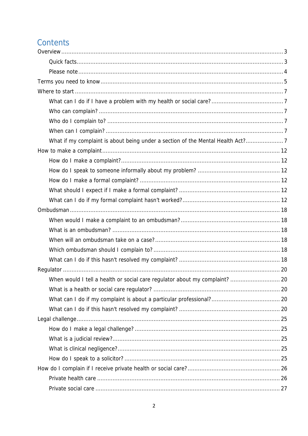## Contents

| When would I tell a health or social care regulator about my complaint?  20 |  |
|-----------------------------------------------------------------------------|--|
|                                                                             |  |
|                                                                             |  |
|                                                                             |  |
|                                                                             |  |
|                                                                             |  |
|                                                                             |  |
|                                                                             |  |
|                                                                             |  |
|                                                                             |  |
|                                                                             |  |
|                                                                             |  |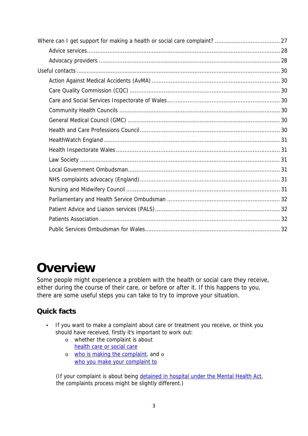## **Overview**

Some people might experience a problem with the health or social care they receive, either during the course of their care, or before or after it. If this happens to you, there are some useful steps you can take to try to improve your situation.

## **Quick facts**

- If you want to make a complaint about care or treatment you receive, or think you should have received, firstly it's important to work out:
	- o whether the complaint is about health care or social care
	- o who is making the complaint, and o who you make your complaint to

(If your complaint is about being detained in hospital under the Mental Health Act, the complaints process might be slightly different.)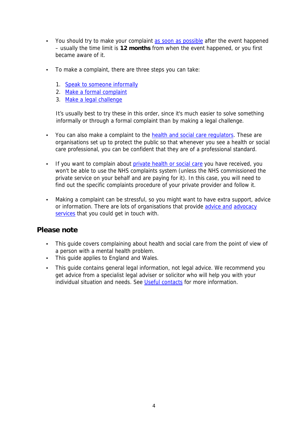- You should try to make your complaint as soon as possible after the event happened – usually the time limit is **12 months** from when the event happened, or you first became aware of it.
- To make a complaint, there are three steps you can take:
	- 1. Speak to someone informally
	- 2. Make a formal complaint
	- 3. Make a legal challenge

It's usually best to try these in this order, since it's much easier to solve something informally or through a formal complaint than by making a legal challenge.

- You can also make a complaint to the health and social care regulators. These are organisations set up to protect the public so that whenever you see a health or social care professional, you can be confident that they are of a professional standard.
- If you want to complain about private health or social care you have received, you won't be able to use the NHS complaints system (unless the NHS commissioned the private service on your behalf and are paying for it). In this case, you will need to find out the specific complaints procedure of your private provider and follow it.
- Making a complaint can be stressful, so you might want to have extra support, advice or information. There are lots of organisations that provide advice and advocacy services that you could get in touch with.

#### **Please note**

- This quide covers complaining about health and social care from the point of view of a person with a mental health problem.
- This guide applies to England and Wales.
- This guide contains general legal information, not legal advice. We recommend you get advice from a specialist legal adviser or solicitor who will help you with your individual situation and needs. See Useful contacts for more information.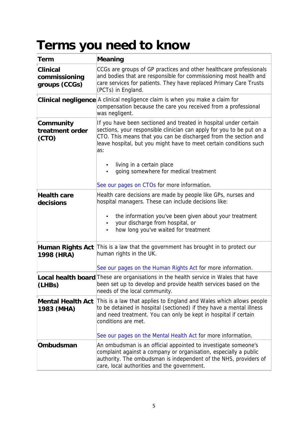## **Terms you need to know**

| <b>Term</b>                                       | <b>Meaning</b>                                                                                                                                                                                                                                                                                                         |  |  |
|---------------------------------------------------|------------------------------------------------------------------------------------------------------------------------------------------------------------------------------------------------------------------------------------------------------------------------------------------------------------------------|--|--|
| <b>Clinical</b><br>commissioning<br>groups (CCGs) | CCGs are groups of GP practices and other healthcare professionals<br>and bodies that are responsible for commissioning most health and<br>care services for patients. They have replaced Primary Care Trusts<br>(PCTs) in England.                                                                                    |  |  |
|                                                   | Clinical negligence A clinical negligence claim is when you make a claim for<br>compensation because the care you received from a professional<br>was negligent.                                                                                                                                                       |  |  |
| Community<br>treatment order<br>(CTO)             | If you have been sectioned and treated in hospital under certain<br>sections, your responsible clinician can apply for you to be put on a<br>CTO. This means that you can be discharged from the section and<br>leave hospital, but you might have to meet certain conditions such<br>as:<br>living in a certain place |  |  |
|                                                   | going somewhere for medical treatment                                                                                                                                                                                                                                                                                  |  |  |
|                                                   | See our pages on CTOs for more information.                                                                                                                                                                                                                                                                            |  |  |
| <b>Health care</b><br>decisions                   | Health care decisions are made by people like GPs, nurses and<br>hospital managers. These can include decisions like:                                                                                                                                                                                                  |  |  |
|                                                   | the information you've been given about your treatment<br>your discharge from hospital, or<br>how long you've waited for treatment                                                                                                                                                                                     |  |  |
| 1998 (HRA)                                        | Human Rights Act This is a law that the government has brought in to protect our<br>human rights in the UK.                                                                                                                                                                                                            |  |  |
|                                                   | See our pages on the Human Rights Act for more information.                                                                                                                                                                                                                                                            |  |  |
| (LHBs)                                            | <b>Local health board</b> These are organisations in the health service in Wales that have<br>been set up to develop and provide health services based on the<br>needs of the local community.                                                                                                                         |  |  |
| <b>Mental Health Act</b><br>1983 (MHA)            | This is a law that applies to England and Wales which allows people<br>to be detained in hospital (sectioned) if they have a mental illness<br>and need treatment. You can only be kept in hospital if certain<br>conditions are met.                                                                                  |  |  |
|                                                   | See our pages on the Mental Health Act for more information.                                                                                                                                                                                                                                                           |  |  |
| Ombudsman                                         | An ombudsman is an official appointed to investigate someone's<br>complaint against a company or organisation, especially a public<br>authority. The ombudsman is independent of the NHS, providers of<br>care, local authorities and the government.                                                                  |  |  |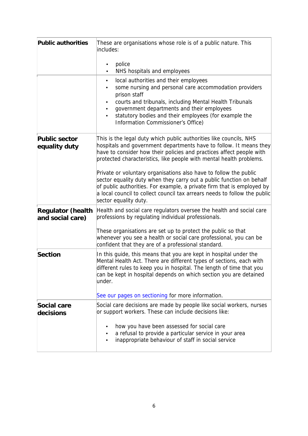| <b>Public authorities</b>                    | These are organisations whose role is of a public nature. This<br>includes:                                                                                                                                                                                                                                                               |  |
|----------------------------------------------|-------------------------------------------------------------------------------------------------------------------------------------------------------------------------------------------------------------------------------------------------------------------------------------------------------------------------------------------|--|
|                                              | police<br>$\bullet$<br>NHS hospitals and employees                                                                                                                                                                                                                                                                                        |  |
|                                              | local authorities and their employees<br>٠<br>some nursing and personal care accommodation providers<br>$\bullet$<br>prison staff<br>courts and tribunals, including Mental Health Tribunals<br>government departments and their employees<br>statutory bodies and their employees (for example the<br>Information Commissioner's Office) |  |
| <b>Public sector</b><br>equality duty        | This is the legal duty which public authorities like councils, NHS<br>hospitals and government departments have to follow. It means they<br>have to consider how their policies and practices affect people with<br>protected characteristics, like people with mental health problems.                                                   |  |
|                                              | Private or voluntary organisations also have to follow the public<br>sector equality duty when they carry out a public function on behalf<br>of public authorities. For example, a private firm that is employed by<br>a local council to collect council tax arrears needs to follow the public<br>sector equality duty.                 |  |
| <b>Regulator (health</b><br>and social care) | Health and social care regulators oversee the health and social care<br>professions by regulating individual professionals.                                                                                                                                                                                                               |  |
|                                              | These organisations are set up to protect the public so that<br>whenever you see a health or social care professional, you can be<br>confident that they are of a professional standard.                                                                                                                                                  |  |
| <b>Section</b>                               | In this guide, this means that you are kept in hospital under the<br>Mental Health Act. There are different types of sections, each with<br>different rules to keep you in hospital. The length of time that you<br>can be kept in hospital depends on which section you are detained<br>under.                                           |  |
|                                              | See our pages on sectioning for more information.                                                                                                                                                                                                                                                                                         |  |
| <b>Social care</b><br>decisions              | Social care decisions are made by people like social workers, nurses<br>or support workers. These can include decisions like:                                                                                                                                                                                                             |  |
|                                              | how you have been assessed for social care<br>a refusal to provide a particular service in your area<br>inappropriate behaviour of staff in social service                                                                                                                                                                                |  |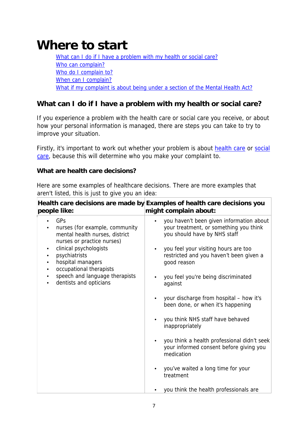## **Where to start**

What can I do if I have a problem with my health or social care? Who can complain? Who do I complain to? When can I complain? What if my complaint is about being under a section of the Mental Health Act?

## **What can I do if I have a problem with my health or social care?**

If you experience a problem with the health care or social care you receive, or about how your personal information is managed, there are steps you can take to try to improve your situation.

Firstly, it's important to work out whether your problem is about health care or social care, because this will determine who you make your complaint to.

#### **What are health care decisions?**

Here are some examples of healthcare decisions. There are more examples that aren't listed, this is just to give you an idea:

| people like:                                                                                                                   | Health care decisions are made by Examples of health care decisions you<br>might complain about:                   |
|--------------------------------------------------------------------------------------------------------------------------------|--------------------------------------------------------------------------------------------------------------------|
| <b>GPs</b><br>nurses (for example, community<br>mental health nurses, district<br>nurses or practice nurses)                   | you haven't been given information about<br>your treatment, or something you think<br>you should have by NHS staff |
| clinical psychologists<br>$\bullet$<br>psychiatrists<br>hospital managers<br>$\bullet$<br>occupational therapists<br>$\bullet$ | you feel your visiting hours are too<br>$\bullet$<br>restricted and you haven't been given a<br>good reason        |
| speech and language therapists<br>٠<br>dentists and opticians                                                                  | you feel you're being discriminated<br>against                                                                     |
|                                                                                                                                | your discharge from hospital - how it's<br>been done, or when it's happening                                       |
|                                                                                                                                | you think NHS staff have behaved<br>inappropriately                                                                |
|                                                                                                                                | you think a health professional didn't seek<br>$\bullet$<br>your informed consent before giving you<br>medication  |
|                                                                                                                                | you've waited a long time for your<br>treatment                                                                    |
|                                                                                                                                | you think the health professionals are                                                                             |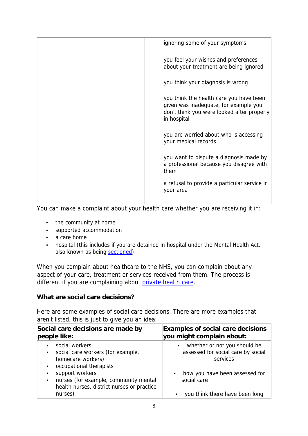| ignoring some of your symptoms                                                                                                                |
|-----------------------------------------------------------------------------------------------------------------------------------------------|
| you feel your wishes and preferences<br>about your treatment are being ignored                                                                |
| you think your diagnosis is wrong                                                                                                             |
| you think the health care you have been<br>given was inadequate, for example you<br>don't think you were looked after properly<br>in hospital |
| you are worried about who is accessing<br>your medical records                                                                                |
| you want to dispute a diagnosis made by<br>a professional because you disagree with<br>them                                                   |
| a refusal to provide a particular service in<br>your area                                                                                     |
|                                                                                                                                               |

You can make a complaint about your health care whether you are receiving it in:

- the community at home
- supported accommodation
- a care home
- hospital (this includes if you are detained in hospital under the Mental Health Act, also known as being sectioned)

When you complain about healthcare to the NHS, you can complain about any aspect of your care, treatment or services received from them. The process is different if you are complaining about private health care.

#### **What are social care decisions?**

Here are some examples of social care decisions. There are more examples that aren't listed, this is just to give you an idea:

| Social care decisions are made by                                                                                                                                                                                                                               | <b>Examples of social care decisions</b>                                                                                                                                       |
|-----------------------------------------------------------------------------------------------------------------------------------------------------------------------------------------------------------------------------------------------------------------|--------------------------------------------------------------------------------------------------------------------------------------------------------------------------------|
| people like:                                                                                                                                                                                                                                                    | you might complain about:                                                                                                                                                      |
| social workers<br>social care workers (for example,<br>$\bullet$<br>homecare workers)<br>occupational therapists<br>$\bullet$<br>support workers<br>nurses (for example, community mental<br>$\bullet$<br>health nurses, district nurses or practice<br>nurses) | whether or not you should be<br>assessed for social care by social<br>services<br>how you have been assessed for<br>social care<br>you think there have been long<br>$\bullet$ |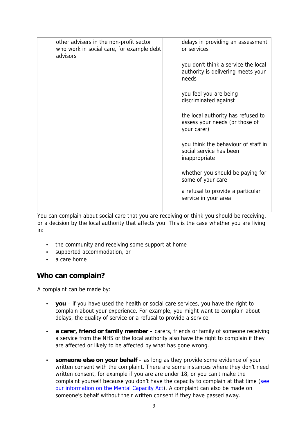| other advisers in the non-profit sector<br>who work in social care, for example debt<br>advisors | delays in providing an assessment<br>or services                                    |
|--------------------------------------------------------------------------------------------------|-------------------------------------------------------------------------------------|
|                                                                                                  | you don't think a service the local<br>authority is delivering meets your<br>needs  |
|                                                                                                  | you feel you are being<br>discriminated against                                     |
|                                                                                                  | the local authority has refused to<br>assess your needs (or those of<br>your carer) |
|                                                                                                  | you think the behaviour of staff in<br>social service has been<br>inappropriate     |
|                                                                                                  | whether you should be paying for<br>some of your care                               |
|                                                                                                  | a refusal to provide a particular<br>service in your area                           |
|                                                                                                  |                                                                                     |

You can complain about social care that you are receiving or think you should be receiving, or a decision by the local authority that affects you. This is the case whether you are living in:

- the community and receiving some support at home
- supported accommodation, or
- a care home

#### **Who can complain?**

A complaint can be made by:

- **you** if you have used the health or social care services, you have the right to complain about your experience. For example, you might want to complain about delays, the quality of service or a refusal to provide a service.
- **a carer, friend or family member** carers, friends or family of someone receiving a service from the NHS or the local authority also have the right to complain if they are affected or likely to be affected by what has gone wrong.
- **someone else on your behalf** as long as they provide some evidence of your written consent with the complaint. There are some instances where they don't need written consent, for example if you are are under 18, or you can't make the complaint yourself because you don't have the capacity to complain at that time (see our information on the Mental Capacity Act). A complaint can also be made on someone's behalf without their written consent if they have passed away.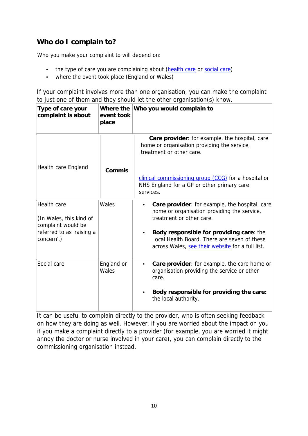## **Who do I complain to?**

Who you make your complaint to will depend on:

- the type of care you are complaining about (health care or social care)
- where the event took place (England or Wales)

If your complaint involves more than one organisation, you can make the complaint to just one of them and they should let the other organisation(s) know.

| Type of care your<br>complaint is about                      | event took<br>place | Where the Who you would complain to                                                                                                          |
|--------------------------------------------------------------|---------------------|----------------------------------------------------------------------------------------------------------------------------------------------|
| Health care England                                          | <b>Commis</b>       | <b>Care provider:</b> for example, the hospital, care<br>home or organisation providing the service,<br>treatment or other care.             |
|                                                              |                     | clinical commissioning group (CCG) for a hospital or<br>NHS England for a GP or other primary care<br>services.                              |
| Health care<br>(In Wales, this kind of<br>complaint would be | Wales               | Care provider: for example, the hospital, care<br>$\bullet$<br>home or organisation providing the service,<br>treatment or other care.       |
| referred to as 'raising a<br>concern'.)                      |                     | Body responsible for providing care: the<br>Local Health Board. There are seven of these<br>across Wales, see their website for a full list. |
| Social care                                                  | England or<br>Wales | Care provider: for example, the care home or<br>$\bullet$<br>organisation providing the service or other<br>care.                            |
|                                                              |                     | Body responsible for providing the care:<br>the local authority.                                                                             |

It can be useful to complain directly to the provider, who is often seeking feedback on how they are doing as well. However, if you are worried about the impact on you if you make a complaint directly to a provider (for example, you are worried it might annoy the doctor or nurse involved in your care), you can complain directly to the commissioning organisation instead.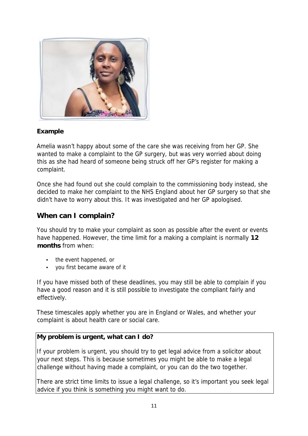

#### **Example**

Amelia wasn't happy about some of the care she was receiving from her GP. She wanted to make a complaint to the GP surgery, but was very worried about doing this as she had heard of someone being struck off her GP's register for making a complaint.

Once she had found out she could complain to the commissioning body instead, she decided to make her complaint to the NHS England about her GP surgery so that she didn't have to worry about this. It was investigated and her GP apologised.

## **When can I complain?**

You should try to make your complaint as soon as possible after the event or events have happened. However, the time limit for a making a complaint is normally **12 months** from when:

- the event happened, or
- you first became aware of it

If you have missed both of these deadlines, you may still be able to complain if you have a good reason and it is still possible to investigate the compliant fairly and effectively.

These timescales apply whether you are in England or Wales, and whether your complaint is about health care or social care.

#### **My problem is urgent, what can I do?**

If your problem is urgent, you should try to get legal advice from a solicitor about your next steps. This is because sometimes you might be able to make a legal challenge without having made a complaint, or you can do the two together.

There are strict time limits to issue a legal challenge, so it's important you seek legal advice if you think is something you might want to do.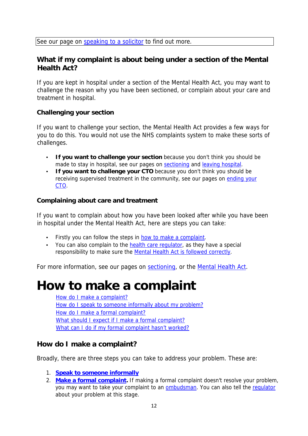See our page on speaking to a solicitor to find out more.

### **What if my complaint is about being under a section of the Mental Health Act?**

If you are kept in hospital under a section of the Mental Health Act, you may want to challenge the reason why you have been sectioned, or complain about your care and treatment in hospital.

#### **Challenging your section**

If you want to challenge your section, the Mental Health Act provides a few ways for you to do this. You would not use the NHS complaints system to make these sorts of challenges.

- **If you want to challenge your section** because you don't think you should be made to stay in hospital, see our pages on sectioning and leaving hospital.
- **If you want to challenge your CTO** because you don't think you should be receiving supervised treatment in the community, see our pages on ending your CTO.

#### **Complaining about care and treatment**

If you want to complain about how you have been looked after while you have been in hospital under the Mental Health Act, here are steps you can take:

- Firstly you can follow the steps in how to make a complaint.
- You can also complain to the health care regulator, as they have a special responsibility to make sure the Mental Health Act is followed correctly.

For more information, see our pages on sectioning, or the Mental Health Act.

## **How to make a complaint**

 How do I make a complaint? How do I speak to someone informally about my problem? How do I make a formal complaint? What should I expect if I make a formal complaint? What can I do if my formal complaint hasn't worked?

#### **How do I make a complaint?**

Broadly, there are three steps you can take to address your problem. These are:

- 1. **Speak to someone informally**
- 2. **Make a formal complaint.** If making a formal complaint doesn't resolve your problem, you may want to take your complaint to an ombudsman. You can also tell the regulator about your problem at this stage.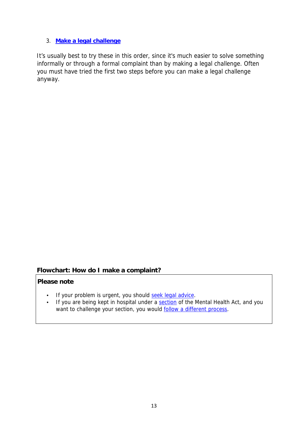#### 3. **Make a legal challenge**

It's usually best to try these in this order, since it's much easier to solve something informally or through a formal complaint than by making a legal challenge. Often you must have tried the first two steps before you can make a legal challenge anyway.

#### **Flowchart: How do I make a complaint?**

#### **Please note**

- If your problem is urgent, you should seek legal advice.
- If you are being kept in hospital under a section of the Mental Health Act, and you want to challenge your section, you would follow a different process.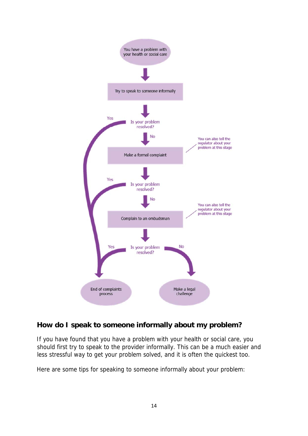

## **How do I speak to someone informally about my problem?**

If you have found that you have a problem with your health or social care, you should first try to speak to the provider informally. This can be a much easier and less stressful way to get your problem solved, and it is often the quickest too.

Here are some tips for speaking to someone informally about your problem: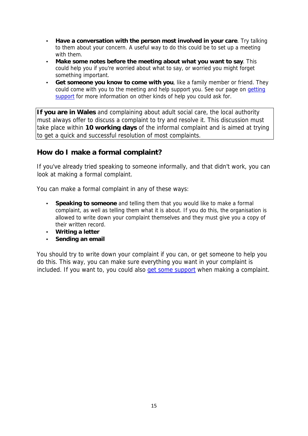- **Have a conversation with the person most involved in your care**. Try talking to them about your concern. A useful way to do this could be to set up a meeting with them.
- **Make some notes before the meeting about what you want to say**. This could help you if you're worried about what to say, or worried you might forget something important.
- **Get someone you know to come with you**, like a family member or friend. They could come with you to the meeting and help support you. See our page on getting support for more information on other kinds of help you could ask for.

**If you are in Wales** and complaining about adult social care, the local authority must always offer to discuss a complaint to try and resolve it. This discussion must take place within **10 working days** of the informal complaint and is aimed at trying to get a quick and successful resolution of most complaints.

## **How do I make a formal complaint?**

If you've already tried speaking to someone informally, and that didn't work, you can look at making a formal complaint.

You can make a formal complaint in any of these ways:

- **Speaking to someone** and telling them that you would like to make a formal complaint, as well as telling them what it is about. If you do this, the organisation is allowed to write down your complaint themselves and they must give you a copy of their written record.
- **Writing a letter**
- **Sending an email**

You should try to write down your complaint if you can, or get someone to help you do this. This way, you can make sure everything you want in your complaint is included. If you want to, you could also get some support when making a complaint.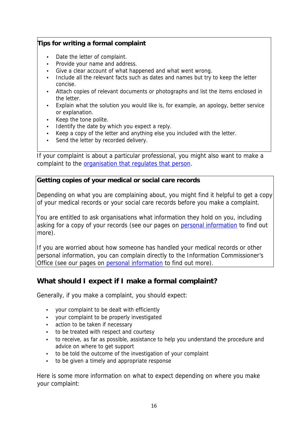#### **Tips for writing a formal complaint**

- Date the letter of complaint.
- Provide your name and address.
- Give a clear account of what happened and what went wrong.
- Include all the relevant facts such as dates and names but try to keep the letter concise.
- Attach copies of relevant documents or photographs and list the items enclosed in the letter.
- Explain what the solution you would like is, for example, an apology, better service or explanation.
- Keep the tone polite.
- Identify the date by which you expect a reply.
- Keep a copy of the letter and anything else you included with the letter.
- Send the letter by recorded delivery.

If your complaint is about a particular professional, you might also want to make a complaint to the organisation that regulates that person.

#### **Getting copies of your medical or social care records**

Depending on what you are complaining about, you might find it helpful to get a copy of your medical records or your social care records before you make a complaint.

You are entitled to ask organisations what information they hold on you, including asking for a copy of your records (see our pages on personal information to find out more).

If you are worried about how someone has handled your medical records or other personal information, you can complain directly to the Information Commissioner's Office (see our pages on personal information to find out more).

## **What should I expect if I make a formal complaint?**

Generally, if you make a complaint, you should expect:

- your complaint to be dealt with efficiently
- your complaint to be properly investigated
- action to be taken if necessary
- to be treated with respect and courtesy
- to receive, as far as possible, assistance to help you understand the procedure and advice on where to get support
- to be told the outcome of the investigation of your complaint
- to be given a timely and appropriate response

Here is some more information on what to expect depending on where you make your complaint: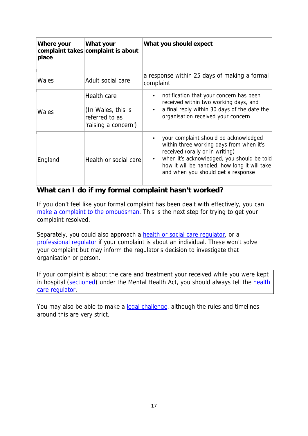| Where your<br>place | What your<br>complaint takes complaint is about                             | What you should expect                                                                                                                                                                                                                                    |
|---------------------|-----------------------------------------------------------------------------|-----------------------------------------------------------------------------------------------------------------------------------------------------------------------------------------------------------------------------------------------------------|
| Wales               | Adult social care                                                           | a response within 25 days of making a formal<br>complaint                                                                                                                                                                                                 |
| Wales               | Health care<br>(In Wales, this is<br>referred to as<br>'raising a concern') | notification that your concern has been<br>received within two working days, and<br>a final reply within 30 days of the date the<br>$\bullet$<br>organisation received your concern                                                                       |
| England             | Health or social care                                                       | your complaint should be acknowledged<br>within three working days from when it's<br>received (orally or in writing)<br>when it's acknowledged, you should be told<br>how it will be handled, how long it will take<br>and when you should get a response |

### **What can I do if my formal complaint hasn't worked?**

If you don't feel like your formal complaint has been dealt with effectively, you can make a complaint to the ombudsman. This is the next step for trying to get your complaint resolved.

Separately, you could also approach a health or social care regulator, or a professional regulator if your complaint is about an individual. These won't solve your complaint but may inform the regulator's decision to investigate that organisation or person.

If your complaint is about the care and treatment your received while you were kept in hospital (sectioned) under the Mental Health Act, you should always tell the health care regulator.

You may also be able to make a legal challenge, although the rules and timelines around this are very strict.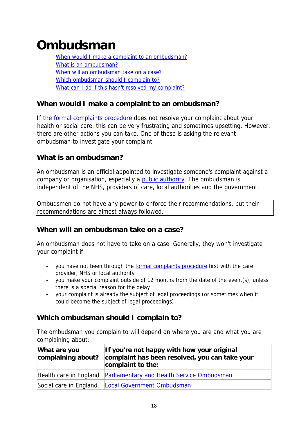## **Ombudsman**

When would I make a complaint to an ombudsman? What is an ombudsman? When will an ombudsman take on a case? Which ombudsman should I complain to? What can I do if this hasn't resolved my complaint?

## **When would I make a complaint to an ombudsman?**

If the **formal complaints procedure** does not resolve your complaint about your health or social care, this can be very frustrating and sometimes upsetting. However, there are other actions you can take. One of these is asking the relevant ombudsman to investigate your complaint.

## **What is an ombudsman?**

An ombudsman is an official appointed to investigate someone's complaint against a company or organisation, especially a public authority. The ombudsman is independent of the NHS, providers of care, local authorities and the government.

Ombudsmen do not have any power to enforce their recommendations, but their recommendations are almost always followed.

## **When will an ombudsman take on a case?**

An ombudsman does not have to take on a case. Generally, they won't investigate your complaint if:

- you have not been through the formal complaints procedure first with the care provider, NHS or local authority
- you make your complaint outside of 12 months from the date of the event(s), unless there is a special reason for the delay
- your complaint is already the subject of legal proceedings (or sometimes when it could become the subject of legal proceedings)

## **Which ombudsman should I complain to?**

The ombudsman you complain to will depend on where you are and what you are complaining about:

| What are you<br>complaining about? | If you're not happy with how your original<br>complaint has been resolved, you can take your<br>complaint to the: |  |
|------------------------------------|-------------------------------------------------------------------------------------------------------------------|--|
|                                    | Health care in England Parliamentary and Health Service Ombudsman                                                 |  |
|                                    | Social care in England   Local Government Ombudsman                                                               |  |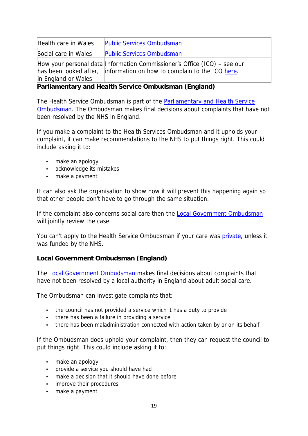| Health care in Wales | <b>Public Services Ombudsman</b>                                         |
|----------------------|--------------------------------------------------------------------------|
| Social care in Wales | <b>Public Services Ombudsman</b>                                         |
|                      | How your personal data Information Commissioner's Office (ICO) – see our |
|                      | has been looked after, information on how to complain to the ICO here.   |
| in England or Wales  |                                                                          |

#### **Parliamentary and Health Service Ombudsman (England)**

The Health Service Ombudsman is part of the Parliamentary and Health Service Ombudsman. The Ombudsman makes final decisions about complaints that have not been resolved by the NHS in England.

If you make a complaint to the Health Services Ombudsman and it upholds your complaint, it can make recommendations to the NHS to put things right. This could include asking it to:

- make an apology
- acknowledge its mistakes
- make a payment

It can also ask the organisation to show how it will prevent this happening again so that other people don't have to go through the same situation.

If the complaint also concerns social care then the Local Government Ombudsman will jointly review the case.

You can't apply to the Health Service Ombudsman if your care was private, unless it was funded by the NHS.

#### **Local Government Ombudsman (England)**

The Local Government Ombudsman makes final decisions about complaints that have not been resolved by a local authority in England about adult social care.

The Ombudsman can investigate complaints that:

- the council has not provided a service which it has a duty to provide
- there has been a failure in providing a service
- there has been maladministration connected with action taken by or on its behalf

If the Ombudsman does uphold your complaint, then they can request the council to put things right. This could include asking it to:

- make an apology
- provide a service you should have had
- make a decision that it should have done before
- improve their procedures
- make a payment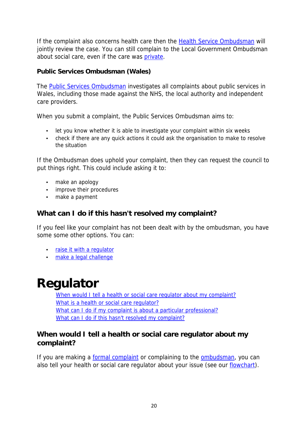If the complaint also concerns health care then the **Health Service Ombudsman** will jointly review the case. You can still complain to the Local Government Ombudsman about social care, even if the care was private.

#### **Public Services Ombudsman (Wales)**

The Public Services Ombudsman investigates all complaints about public services in Wales, including those made against the NHS, the local authority and independent care providers.

When you submit a complaint, the Public Services Ombudsman aims to:

- let you know whether it is able to investigate your complaint within six weeks
- check if there are any quick actions it could ask the organisation to make to resolve the situation

If the Ombudsman does uphold your complaint, then they can request the council to put things right. This could include asking it to:

- make an apology
- improve their procedures
- make a payment

### **What can I do if this hasn't resolved my complaint?**

If you feel like your complaint has not been dealt with by the ombudsman, you have some some other options. You can:

- raise it with a regulator
- make a legal challenge

## **Regulator**

When would I tell a health or social care regulator about my complaint? What is a health or social care regulator? What can I do if my complaint is about a particular professional? What can I do if this hasn't resolved my complaint?

## **When would I tell a health or social care regulator about my complaint?**

If you are making a formal complaint or complaining to the **ombudsman**, you can also tell your health or social care regulator about your issue (see our flowchart).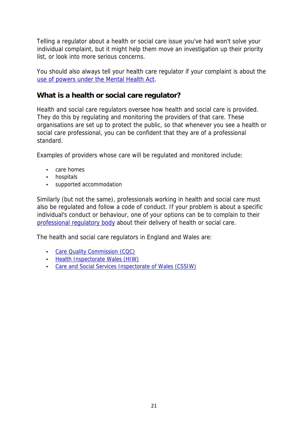Telling a regulator about a health or social care issue you've had won't solve your individual complaint, but it might help them move an investigation up their priority list, or look into more serious concerns.

You should also always tell your health care regulator if your complaint is about the use of powers under the Mental Health Act.

### **What is a health or social care regulator?**

Health and social care regulators oversee how health and social care is provided. They do this by regulating and monitoring the providers of that care. These organisations are set up to protect the public, so that whenever you see a health or social care professional, you can be confident that they are of a professional standard.

Examples of providers whose care will be regulated and monitored include:

- care homes
- hospitals
- supported accommodation

Similarly (but not the same), professionals working in health and social care must also be regulated and follow a code of conduct. If your problem is about a specific individual's conduct or behaviour, one of your options can be to complain to their professional regulatory body about their delivery of health or social care.

The health and social care regulators in England and Wales are:

- Care Quality Commission (CQC)
- Health Inspectorate Wales (HIW)
- Care and Social Services Inspectorate of Wales (CSSIW)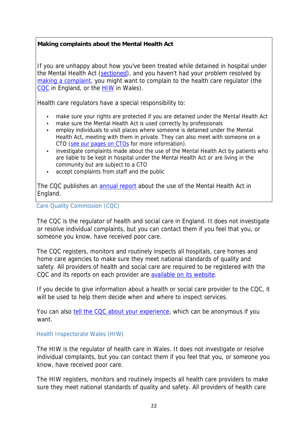#### **Making complaints about the Mental Health Act**

If you are unhappy about how you've been treated while detained in hospital under the Mental Health Act (sectioned), and you haven't had your problem resolved by making a complaint, you might want to complain to the health care regulator (the CQC in England, or the HIW in Wales).

Health care regulators have a special responsibility to:

- make sure your rights are protected if you are detained under the Mental Health Act
- make sure the Mental Health Act is used correctly by professionals
- employ individuals to visit places where someone is detained under the Mental Health Act, meeting with them in private. They can also meet with someone on a CTO (see our pages on CTOs for more information).
- investigate complaints made about the use of the Mental Health Act by patients who are liable to be kept in hospital under the Mental Health Act or are living in the community but are subject to a CTO
- accept complaints from staff and the public

The CQC publishes an annual report about the use of the Mental Health Act in England.

#### Care Quality Commission (CQC)

The CQC is the regulator of health and social care in England. It does not investigate or resolve individual complaints, but you can contact them if you feel that you, or someone you know, have received poor care.

The CQC registers, monitors and routinely inspects all hospitals, care homes and home care agencies to make sure they meet national standards of quality and safety. All providers of health and social care are required to be registered with the CQC and its reports on each provider are available on its website.

If you decide to give information about a health or social care provider to the CQC, it will be used to help them decide when and where to inspect services.

You can also tell the CQC about your experience, which can be anonymous if you want.

#### Health Inspectorate Wales (HIW)

The HIW is the regulator of health care in Wales. It does not investigate or resolve individual complaints, but you can contact them if you feel that you, or someone you know, have received poor care.

The HIW registers, monitors and routinely inspects all health care providers to make sure they meet national standards of quality and safety. All providers of health care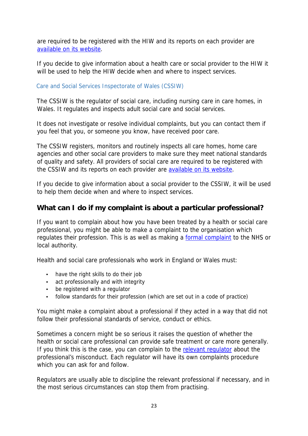are required to be registered with the HIW and its reports on each provider are available on its website.

If you decide to give information about a health care or social provider to the HIW it will be used to help the HIW decide when and where to inspect services.

#### Care and Social Services Inspectorate of Wales (CSSIW)

The CSSIW is the regulator of social care, including nursing care in care homes, in Wales. It regulates and inspects adult social care and social services.

It does not investigate or resolve individual complaints, but you can contact them if you feel that you, or someone you know, have received poor care.

The CSSIW registers, monitors and routinely inspects all care homes, home care agencies and other social care providers to make sure they meet national standards of quality and safety. All providers of social care are required to be registered with the CSSIW and its reports on each provider are available on its website.

If you decide to give information about a social provider to the CSSIW, it will be used to help them decide when and where to inspect services.

### **What can I do if my complaint is about a particular professional?**

If you want to complain about how you have been treated by a health or social care professional, you might be able to make a complaint to the organisation which regulates their profession. This is as well as making a formal complaint to the NHS or local authority.

Health and social care professionals who work in England or Wales must:

- have the right skills to do their job
- act professionally and with integrity
- be registered with a regulator
- follow standards for their profession (which are set out in a code of practice)

You might make a complaint about a professional if they acted in a way that did not follow their professional standards of service, conduct or ethics.

Sometimes a concern might be so serious it raises the question of whether the health or social care professional can provide safe treatment or care more generally. If you think this is the case, you can complain to the relevant regulator about the professional's misconduct. Each regulator will have its own complaints procedure which you can ask for and follow.

Regulators are usually able to discipline the relevant professional if necessary, and in the most serious circumstances can stop them from practising.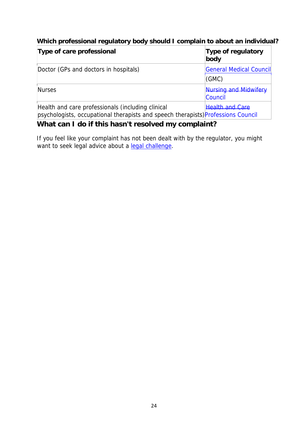#### **Which professional regulatory body should I complain to about an individual?**

| Type of care professional                                                                                                              | Type of regulatory<br>body              |
|----------------------------------------------------------------------------------------------------------------------------------------|-----------------------------------------|
| Doctor (GPs and doctors in hospitals)                                                                                                  | <b>General Medical Council</b>          |
|                                                                                                                                        | (GMC)                                   |
| <b>Nurses</b>                                                                                                                          | <b>Nursing and Midwifery</b><br>Council |
| Health and care professionals (including clinical<br>psychologists, occupational therapists and speech therapists) Professions Council | Health and Care                         |

## **What can I do if this hasn't resolved my complaint?**

If you feel like your complaint has not been dealt with by the regulator, you might want to seek legal advice about a legal challenge.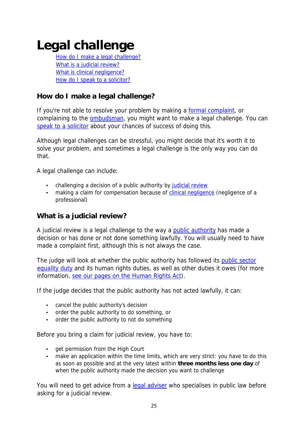## **Legal challenge**

 How do I make a legal challenge? What is a judicial review? What is clinical negligence? How do I speak to a solicitor?

## **How do I make a legal challenge?**

If you're not able to resolve your problem by making a formal complaint, or complaining to the ombudsman, you might want to make a legal challenge. You can speak to a solicitor about your chances of success of doing this.

Although legal challenges can be stressful, you might decide that it's worth it to solve your problem, and sometimes a legal challenge is the only way you can do that.

A legal challenge can include:

- challenging a decision of a public authority by judicial review
- making a claim for compensation because of clinical negligence (negligence of a professional)

### **What is a judicial review?**

A judicial review is a legal challenge to the way a public authority has made a decision or has done or not done something lawfully. You will usually need to have made a complaint first, although this is not always the case.

The judge will look at whether the public authority has followed its public sector equality duty and its human rights duties, as well as other duties it owes (for more information, see our pages on the Human Rights Act).

If the judge decides that the public authority has not acted lawfully, it can:

- cancel the public authority's decision
- order the public authority to do something, or
- order the public authority to not do something

Before you bring a claim for judicial review, you have to:

- get permission from the High Court
- make an application within the time limits, which are very strict: you have to do this as soon as possible and at the very latest within **three months less one day** of when the public authority made the decision you want to challenge

You will need to get advice from a legal adviser who specialises in public law before asking for a judicial review.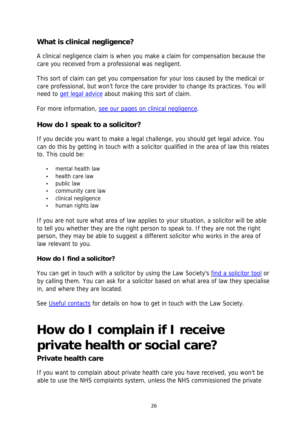## **What is clinical negligence?**

A clinical negligence claim is when you make a claim for compensation because the care you received from a professional was negligent.

This sort of claim can get you compensation for your loss caused by the medical or care professional, but won't force the care provider to change its practices. You will need to get legal advice about making this sort of claim.

For more information, see our pages on clinical negligence.

## **How do I speak to a solicitor?**

If you decide you want to make a legal challenge, you should get legal advice. You can do this by getting in touch with a solicitor qualified in the area of law this relates to. This could be:

- mental health law
- health care law
- public law
- community care law
- clinical negligence
- human rights law

If you are not sure what area of law applies to your situation, a solicitor will be able to tell you whether they are the right person to speak to. If they are not the right person, they may be able to suggest a different solicitor who works in the area of law relevant to you.

#### **How do I find a solicitor?**

You can get in touch with a solicitor by using the Law Society's find a solicitor tool or by calling them. You can ask for a solicitor based on what area of law they specialise in, and where they are located.

See Useful contacts for details on how to get in touch with the Law Society.

## **How do I complain if I receive private health or social care?**

## **Private health care**

If you want to complain about private health care you have received, you won't be able to use the NHS complaints system, unless the NHS commissioned the private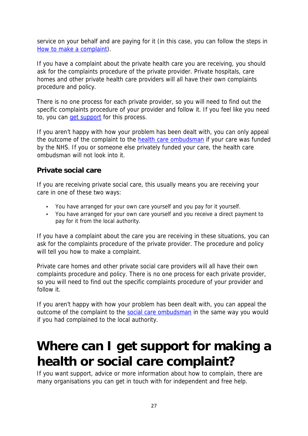service on your behalf and are paying for it (in this case, you can follow the steps in How to make a complaint).

If you have a complaint about the private health care you are receiving, you should ask for the complaints procedure of the private provider. Private hospitals, care homes and other private health care providers will all have their own complaints procedure and policy.

There is no one process for each private provider, so you will need to find out the specific complaints procedure of your provider and follow it. If you feel like you need to, you can get support for this process.

If you aren't happy with how your problem has been dealt with, you can only appeal the outcome of the complaint to the health care ombudsman if your care was funded by the NHS. If you or someone else privately funded your care, the health care ombudsman will not look into it.

### **Private social care**

If you are receiving private social care, this usually means you are receiving your care in one of these two ways:

- You have arranged for your own care yourself and you pay for it yourself.
- You have arranged for your own care yourself and you receive a direct payment to pay for it from the local authority.

If you have a complaint about the care you are receiving in these situations, you can ask for the complaints procedure of the private provider. The procedure and policy will tell you how to make a complaint.

Private care homes and other private social care providers will all have their own complaints procedure and policy. There is no one process for each private provider, so you will need to find out the specific complaints procedure of your provider and follow it.

If you aren't happy with how your problem has been dealt with, you can appeal the outcome of the complaint to the social care ombudsman in the same way you would if you had complained to the local authority.

## **Where can I get support for making a health or social care complaint?**

If you want support, advice or more information about how to complain, there are many organisations you can get in touch with for independent and free help.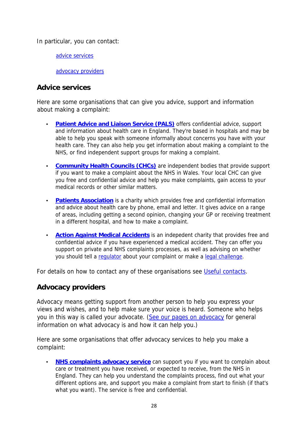In particular, you can contact:

advice services

#### advocacy providers

#### **Advice services**

Here are some organisations that can give you advice, support and information about making a complaint:

- **Patient Advice and Liaison Service (PALS)** offers confidential advice, support and information about health care in England. They're based in hospitals and may be able to help you speak with someone informally about concerns you have with your health care. They can also help you get information about making a complaint to the NHS, or find independent support groups for making a complaint.
- **Community Health Councils (CHCs)** are independent bodies that provide support if you want to make a complaint about the NHS in Wales. Your local CHC can give you free and confidential advice and help you make complaints, gain access to your medical records or other similar matters.
- **Patients Association** is a charity which provides free and confidential information and advice about health care by phone, email and letter. It gives advice on a range of areas, including getting a second opinion, changing your GP or receiving treatment in a different hospital, and how to make a complaint.
- **Action Against Medical Accidents** is an indepedent charity that provides free and confidential advice if you have experienced a medical accident. They can offer you support on private and NHS complaints processes, as well as advising on whether you should tell a requiator about your complaint or make a legal challenge.

For details on how to contact any of these organisations see Useful contacts.

#### **Advocacy providers**

Advocacy means getting support from another person to help you express your views and wishes, and to help make sure your voice is heard. Someone who helps you in this way is called your advocate. (See our pages on advocacy for general information on what advocacy is and how it can help you.)

Here are some organisations that offer advocacy services to help you make a complaint:

• **NHS complaints advocacy service** can support you if you want to complain about care or treatment you have received, or expected to receive, from the NHS in England. They can help you understand the complaints process, find out what your different options are, and support you make a complaint from start to finish (if that's what you want). The service is free and confidential.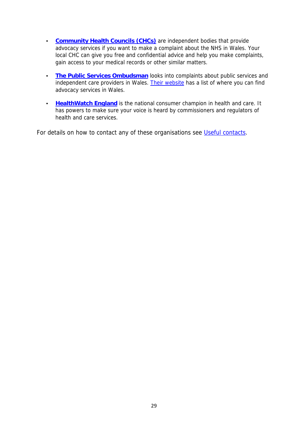- **Community Health Councils (CHCs)** are independent bodies that provide advocacy services if you want to make a complaint about the NHS in Wales. Your local CHC can give you free and confidential advice and help you make complaints, gain access to your medical records or other similar matters.
- **The Public Services Ombudsman** looks into complaints about public services and independent care providers in Wales. Their website has a list of where you can find advocacy services in Wales.
- **HealthWatch England** is the national consumer champion in health and care. It has powers to make sure your voice is heard by commissioners and regulators of health and care services.

For details on how to contact any of these organisations see Useful contacts.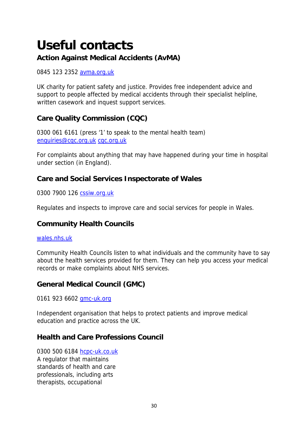## **Useful contacts**

## **Action Against Medical Accidents (AvMA)**

0845 123 2352 avma.org.uk

UK charity for patient safety and justice. Provides free independent advice and support to people affected by medical accidents through their specialist helpline, written casework and inquest support services.

## **Care Quality Commission (CQC)**

0300 061 6161 (press '1' to speak to the mental health team) enquiries@cqc.org.uk cqc.org.uk

For complaints about anything that may have happened during your time in hospital under section (in England).

## **Care and Social Services Inspectorate of Wales**

0300 7900 126 cssiw.org.uk

Regulates and inspects to improve care and social services for people in Wales.

## **Community Health Councils**

wales.nhs.uk

Community Health Councils listen to what individuals and the community have to say about the health services provided for them. They can help you access your medical records or make complaints about NHS services.

## **General Medical Council (GMC)**

0161 923 6602 gmc-uk.org

Independent organisation that helps to protect patients and improve medical education and practice across the UK.

## **Health and Care Professions Council**

0300 500 6184 hcpc-uk.co.uk A regulator that maintains standards of health and care professionals, including arts therapists, occupational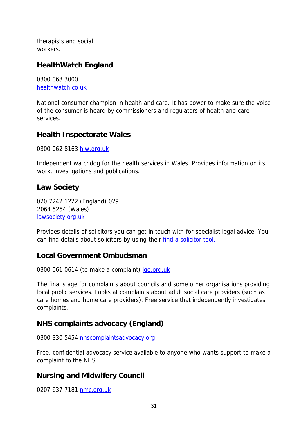therapists and social workers.

## **HealthWatch England**

0300 068 3000 healthwatch.co.uk

National consumer champion in health and care. It has power to make sure the voice of the consumer is heard by commissioners and regulators of health and care services.

#### **Health Inspectorate Wales**

0300 062 8163 hiw.org.uk

Independent watchdog for the health services in Wales. Provides information on its work, investigations and publications.

#### **Law Society**

020 7242 1222 (England) 029 2064 5254 (Wales) lawsociety.org.uk

Provides details of solicitors you can get in touch with for specialist legal advice. You can find details about solicitors by using their find a solicitor tool.

#### **Local Government Ombudsman**

0300 061 0614 (to make a complaint) lgo.org.uk

The final stage for complaints about councils and some other organisations providing local public services. Looks at complaints about adult social care providers (such as care homes and home care providers). Free service that independently investigates complaints.

## **NHS complaints advocacy (England)**

0300 330 5454 nhscomplaintsadvocacy.org

Free, confidential advocacy service available to anyone who wants support to make a complaint to the NHS.

## **Nursing and Midwifery Council**

0207 637 7181 nmc.org.uk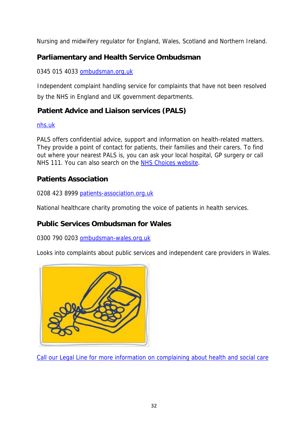Nursing and midwifery regulator for England, Wales, Scotland and Northern Ireland.

## **Parliamentary and Health Service Ombudsman**

0345 015 4033 **ombudsman.org.uk** 

Independent complaint handling service for complaints that have not been resolved by the NHS in England and UK government departments.

## **Patient Advice and Liaison services (PALS)**

nhs.uk

PALS offers confidential advice, support and information on health-related matters. They provide a point of contact for patients, their families and their carers. To find out where your nearest PALS is, you can ask your local hospital, GP surgery or call NHS 111. You can also search on the NHS Choices website.

## **Patients Association**

0208 423 8999 patients-association.org.uk

National healthcare charity promoting the voice of patients in health services.

## **Public Services Ombudsman for Wales**

0300 790 0203 ombudsman-wales.org.uk

Looks into complaints about public services and independent care providers in Wales.



Call our Legal Line for more information on complaining about health and social care